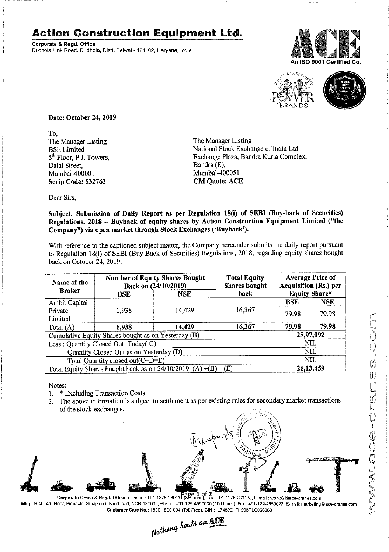## Action Construction Equipment Ltd.

Corporate & Regd. Office Dudhola Link Road, Dudhola, Distt. Palwal - 121102, Haryana, India





| orate & Regd. Office                                                  |                                                                                           | tion Construction Equipment Ltd.                                                                                                                                                                                                                                                                                                                        |                                                                       |                                            |                             |  |  |
|-----------------------------------------------------------------------|-------------------------------------------------------------------------------------------|---------------------------------------------------------------------------------------------------------------------------------------------------------------------------------------------------------------------------------------------------------------------------------------------------------------------------------------------------------|-----------------------------------------------------------------------|--------------------------------------------|-----------------------------|--|--|
|                                                                       | ola Link Road, Dudhola, Distt. Palwal - 121102, Haryana, India                            |                                                                                                                                                                                                                                                                                                                                                         |                                                                       |                                            | An ISO 9001 Certifie        |  |  |
|                                                                       |                                                                                           |                                                                                                                                                                                                                                                                                                                                                         |                                                                       |                                            |                             |  |  |
| Date: October 24, 2019                                                |                                                                                           |                                                                                                                                                                                                                                                                                                                                                         |                                                                       |                                            |                             |  |  |
| To,<br>The Manager Listing<br><b>BSE</b> Limited                      |                                                                                           |                                                                                                                                                                                                                                                                                                                                                         | The Manager Listing<br>National Stock Exchange of India Ltd.          |                                            |                             |  |  |
| 5 <sup>th</sup> Floor, P.J. Towers,<br>Dalal Street,<br>Mumbai-400001 |                                                                                           |                                                                                                                                                                                                                                                                                                                                                         | Exchange Plaza, Bandra Kurla Complex,<br>Bandra (E),<br>Mumbai-400051 |                                            |                             |  |  |
| <b>Scrip Code: 532762</b><br>Dear Sirs,                               |                                                                                           |                                                                                                                                                                                                                                                                                                                                                         | <b>CM Quote: ACE</b>                                                  |                                            |                             |  |  |
|                                                                       |                                                                                           | Subject: Submission of Daily Report as per Regulation 18(i) of SEBI (Buy-back of Securities)<br>Regulations, 2018 - Buyback of equity shares by Action Construction Equipment Limited ("the<br>Company") via open market through Stock Exchanges ('Buyback').                                                                                           |                                                                       |                                            |                             |  |  |
| back on October 24, 2019:                                             |                                                                                           | With reference to the captioned subject matter, the Company hereunder submits the daily report pursuant<br>to Regulation 18(i) of SEBI (Buy Back of Securities) Regulations, 2018, regarding equity shares bought                                                                                                                                       |                                                                       |                                            |                             |  |  |
| Name of the                                                           |                                                                                           | <b>Number of Equity Shares Bought</b>                                                                                                                                                                                                                                                                                                                   | <b>Total Equity</b>                                                   |                                            | <b>Average Price of</b>     |  |  |
| <b>Broker</b><br>Ambit Capital                                        | <b>BSE</b>                                                                                | Back on (24/10/2019)<br><b>NSE</b>                                                                                                                                                                                                                                                                                                                      | <b>Shares bought</b><br>back                                          | <b>Acquisition (Rs.) per</b><br><b>BSE</b> | Equity Share*<br><b>NSE</b> |  |  |
| Private<br>Limited<br>Total (A)                                       | 1,938<br>1,938                                                                            | 14,429<br>14,429                                                                                                                                                                                                                                                                                                                                        | 16,367<br>16,367                                                      | 79.98<br>79.98                             | 79.98<br>79.98              |  |  |
|                                                                       | Cumulative Equity Shares bought as on Yesterday (B)<br>Less: Quantity Closed Out Today(C) |                                                                                                                                                                                                                                                                                                                                                         |                                                                       | 25,97,092<br><b>NIL</b>                    |                             |  |  |
|                                                                       | Quantity Closed Out as on Yesterday (D)<br>Total Quantity closed out(C+D=E)               |                                                                                                                                                                                                                                                                                                                                                         |                                                                       |                                            | <b>NIL</b><br>NIL           |  |  |
|                                                                       |                                                                                           | Total Equity Shares bought back as on $24/10/2019$ (A) +(B) -                                                                                                                                                                                                                                                                                           | (E)                                                                   |                                            | 26,13,459                   |  |  |
| Notes:<br>1.<br>2.<br>of the stock exchanges.                         | * Excluding Transaction Costs                                                             | The above information is subject to settlement as per existing rules for secondary market transactions                                                                                                                                                                                                                                                  |                                                                       |                                            |                             |  |  |
|                                                                       |                                                                                           | Quickwall                                                                                                                                                                                                                                                                                                                                               |                                                                       |                                            |                             |  |  |
|                                                                       |                                                                                           |                                                                                                                                                                                                                                                                                                                                                         |                                                                       |                                            |                             |  |  |
|                                                                       |                                                                                           | Corporate Office & Regd. Office: Phone : +91-1275-280111 (59 Lines), Fax :+91-1275-280133, E-mail : works2@ace-cranes.com<br>4th Floor, Pinnacle, Surajkund, Faridabad, NCR-121009, Phone: +91-129-4550000 (100 Lines), Fax: +91-129-4550022, E-mail: marketing@ace-cranes<br>Customer Care No.: 1800 1800 004 (Toll Free), CIN : L74899HR1995PLC053860 |                                                                       |                                            |                             |  |  |
| Nothing beats an <b>NOTE</b>                                          |                                                                                           |                                                                                                                                                                                                                                                                                                                                                         |                                                                       |                                            |                             |  |  |
|                                                                       |                                                                                           |                                                                                                                                                                                                                                                                                                                                                         |                                                                       |                                            |                             |  |  |

- 1. \* Excluding Transaction Costs
- 2. The above information is subject to settlement as per existing rules for secondary market transactions of the stock exchanges.



Corporate Office & Regd. Office : Phone : +91-1275-28014 age. aot, :+91-1275-280133, E-mail : works2@ace-cranes.com Mktg. H.Q.: 4th Floor, Pinnacle, Surajkund, Faridabad, NCR-121009, Phone: +91-129-4550000 (100 Lines), Fax : +91-129-4550022, E-mail: marketing@ace-cranes.com

Customer Care No.: 1800 1800 004 (Toll Free), CIN: L74899HR1995PLC053860<br>  $Nathing$  beats an  $\mathbb{R}$